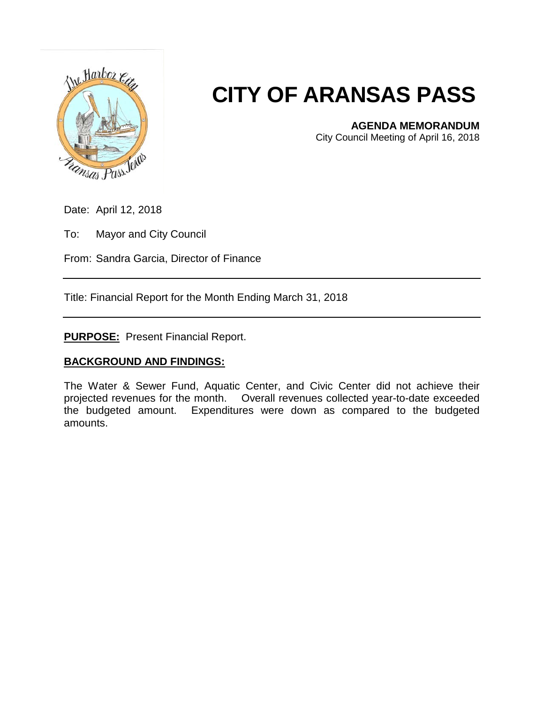

## **CITY OF ARANSAS PASS**

**AGENDA MEMORANDUM**

City Council Meeting of April 16, 2018

Date: April 12, 2018

To: Mayor and City Council

From: Sandra Garcia, Director of Finance

Title: Financial Report for the Month Ending March 31, 2018

**PURPOSE:** Present Financial Report.

## **BACKGROUND AND FINDINGS:**

The Water & Sewer Fund, Aquatic Center, and Civic Center did not achieve their projected revenues for the month. Overall revenues collected year-to-date exceeded the budgeted amount. Expenditures were down as compared to the budgeted amounts.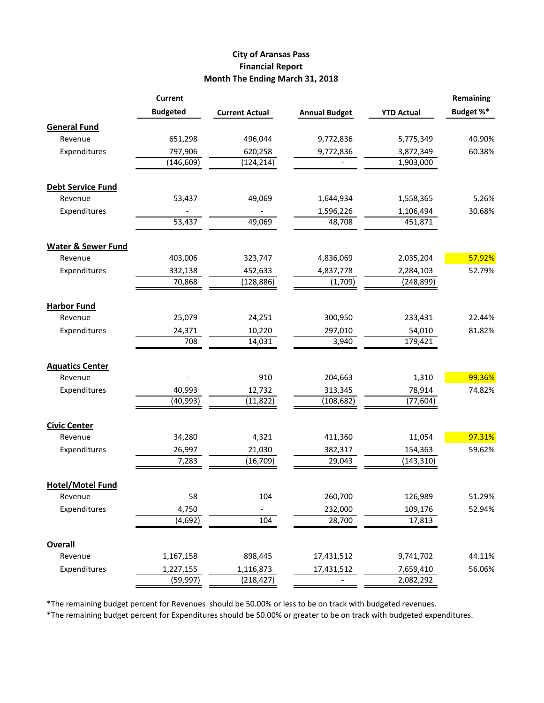## **City of Aransas Pass Financial Report Month The Ending March 31, 2018**

|                               | <b>Current</b>  |                       |                      |                   | <b>Remaining</b> |
|-------------------------------|-----------------|-----------------------|----------------------|-------------------|------------------|
|                               | <b>Budgeted</b> | <b>Current Actual</b> | <b>Annual Budget</b> | <b>YTD Actual</b> | Budget %*        |
| <b>General Fund</b>           |                 |                       |                      |                   |                  |
| Revenue                       | 651,298         | 496,044               | 9,772,836            | 5,775,349         | 40.90%           |
| Expenditures                  | 797,906         | 620,258               | 9,772,836            | 3,872,349         | 60.38%           |
|                               | (146, 609)      | (124, 214)            |                      | 1,903,000         |                  |
| <b>Debt Service Fund</b>      |                 |                       |                      |                   |                  |
| Revenue                       | 53,437          | 49,069                | 1,644,934            | 1,558,365         | 5.26%            |
| Expenditures                  |                 |                       | 1,596,226            | 1,106,494         | 30.68%           |
|                               | 53,437          | 49,069                | 48,708               | 451,871           |                  |
| <b>Water &amp; Sewer Fund</b> |                 |                       |                      |                   |                  |
| Revenue                       | 403,006         | 323,747               | 4,836,069            | 2,035,204         | 57.92%           |
| Expenditures                  | 332,138         | 452,633               | 4,837,778            | 2,284,103         | 52.79%           |
|                               | 70,868          | (128, 886)            | (1,709)              | (248, 899)        |                  |
| <b>Harbor Fund</b>            |                 |                       |                      |                   |                  |
| Revenue                       | 25,079          | 24,251                | 300,950              | 233,431           | 22.44%           |
| Expenditures                  | 24,371          | 10,220                | 297,010              | 54,010            | 81.82%           |
|                               | 708             | 14,031                | 3,940                | 179,421           |                  |
| <b>Aquatics Center</b>        |                 |                       |                      |                   |                  |
| Revenue                       |                 | 910                   | 204,663              | 1,310             | 99.36%           |
| Expenditures                  | 40,993          | 12,732                | 313,345              | 78,914            | 74.82%           |
|                               | (40, 993)       | (11, 822)             | (108, 682)           | (77, 604)         |                  |
| <b>Civic Center</b>           |                 |                       |                      |                   |                  |
| Revenue                       | 34,280          | 4,321                 | 411,360              | 11,054            | 97.31%           |
| Expenditures                  | 26,997          | 21,030                | 382,317              | 154,363           | 59.62%           |
|                               | 7,283           | (16, 709)             | 29,043               | (143, 310)        |                  |
| <b>Hotel/Motel Fund</b>       |                 |                       |                      |                   |                  |
| Revenue                       | 58              | 104                   | 260,700              | 126,989           | 51.29%           |
| Expenditures                  | 4,750           |                       | 232,000              | 109,176           | 52.94%           |
|                               | (4, 692)        | 104                   | 28,700               | 17,813            |                  |
| <b>Overall</b>                |                 |                       |                      |                   |                  |
| Revenue                       | 1,167,158       | 898,445               | 17,431,512           | 9,741,702         | 44.11%           |
| Expenditures                  | 1,227,155       | 1,116,873             | 17,431,512           | 7,659,410         | 56.06%           |
|                               | (59, 997)       | (218, 427)            |                      | 2,082,292         |                  |

\*The remaining budget percent for Revenues should be 50.00% or less to be on track with budgeted revenues.

\*The remaining budget percent for Expenditures should be 50.00% or greater to be on track with budgeted expenditures.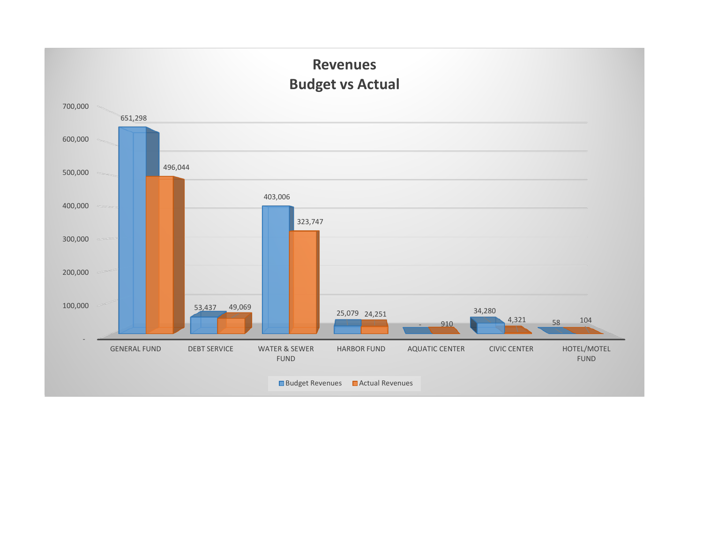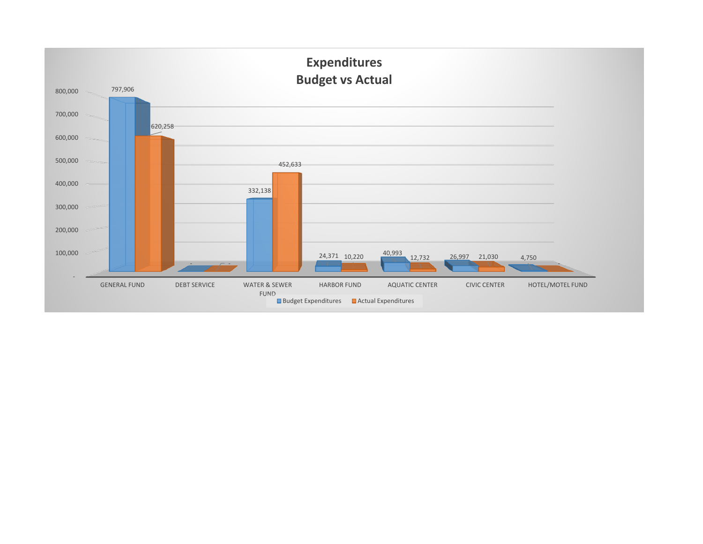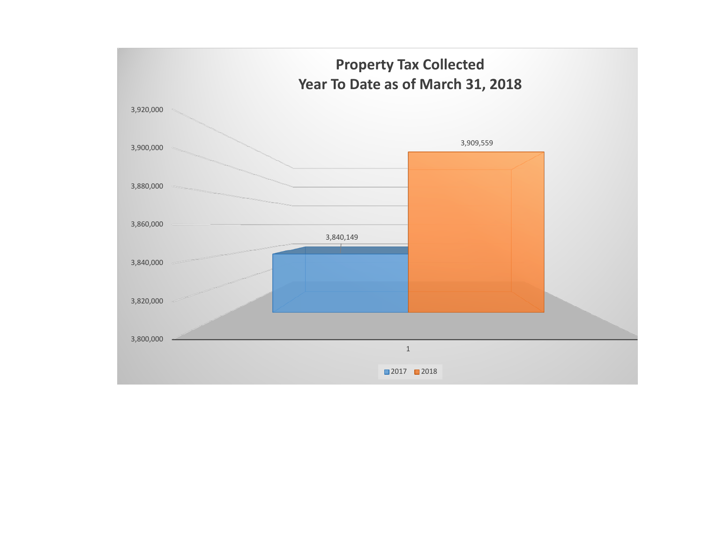